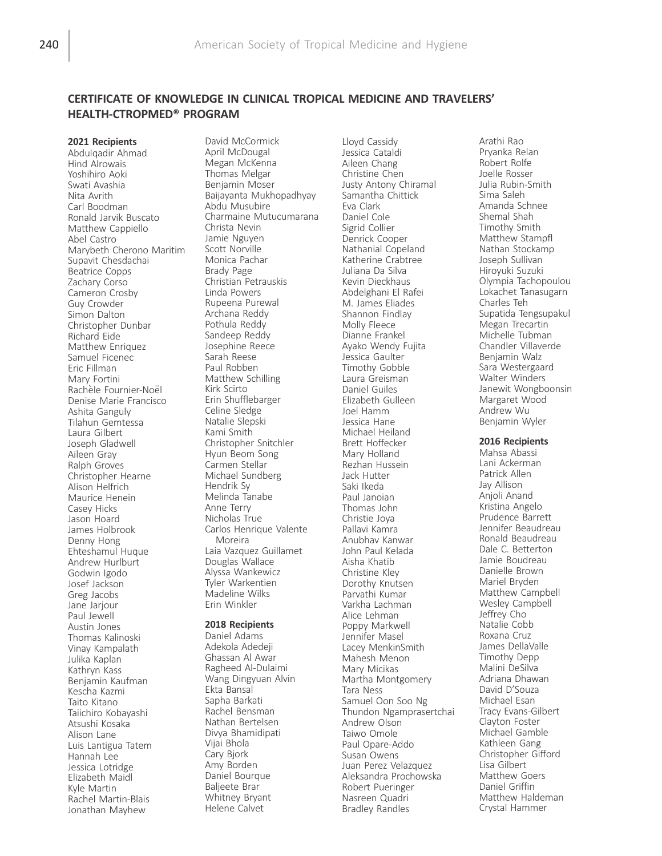2021 Recipients Abdulqadir Ahmad Hind Alrowais Yoshihiro Aoki Swati Avashia Nita Avrith Carl Boodman Ronald Jarvik Buscato Matthew Cappiello Abel Castro Marybeth Cherono Maritim Supavit Chesdachai Beatrice Copps Zachary Corso Cameron Crosby Guy Crowder Simon Dalton Christopher Dunbar Richard Eide Matthew Enriquez Samuel Ficenec Eric Fillman Mary Fortini Rachèle Fournier-Noël Denise Marie Francisco Ashita Ganguly Tilahun Gemtessa Laura Gilbert Joseph Gladwell Aileen Gray Ralph Groves Christopher Hearne Alison Helfrich Maurice Henein Casey Hicks Jason Hoard James Holbrook Denny Hong Ehteshamul Huque Andrew Hurlburt Godwin Igodo Josef Jackson Greg Jacobs Jane Jariour Paul Jewell Austin Jones Thomas Kalinoski Vinay Kampalath Julika Kaplan Kathryn Kass Benjamin Kaufman Kescha Kazmi Taito Kitano Taiichiro Kobayashi Atsushi Kosaka Alison Lane Luis Lantigua Tatem Hannah Lee Jessica Lotridge Elizabeth Maidl Kyle Martin Rachel Martin-Blais Jonathan Mayhew

David McCormick April McDougal Megan McKenna Thomas Melgar Benjamin Moser Baijayanta Mukhopadhyay Abdu Musubire Charmaine Mutucumarana Christa Nevin Jamie Nguyen Scott Norville Monica Pachar Brady Page Christian Petrauskis Linda Powers Rupeena Purewal Archana Reddy Pothula Reddy Sandeep Reddy Josephine Reece Sarah Reese Paul Robben Matthew Schilling Kirk Scirto Erin Shufflebarger Celine Sledge Natalie Slepski Kami Smith Christopher Snitchler Hyun Beom Song Carmen Stellar Michael Sundberg Hendrik Sy Melinda Tanabe Anne Terry Nicholas True Carlos Henrique Valente Moreira Laia Vazquez Guillamet Douglas Wallace Alyssa Wankewicz Tyler Warkentien Madeline Wilks Erin Winkler

#### 2018 Recipients

Daniel Adams Adekola Adedeji Ghassan Al Awar Ragheed Al-Dulaimi Wang Dingyuan Alvin Ekta Bansal Sapha Barkati Rachel Bensman Nathan Bertelsen Divya Bhamidipati Vijai Bhola Cary Bjork Amy Borden Daniel Bourque Baljeete Brar Whitney Bryant Helene Calvet

Lloyd Cassidy Jessica Cataldi Aileen Chang Christine Chen Justy Antony Chiramal Samantha Chittick Eva Clark Daniel Cole Sigrid Collier Denrick Cooper Nathanial Copeland Katherine Crabtree Juliana Da Silva Kevin Dieckhaus Abdelghani El Rafei M. James Eliades Shannon Findlay Molly Fleece Dianne Frankel Ayako Wendy Fujita Jessica Gaulter Timothy Gobble Laura Greisman Daniel Guiles Elizabeth Gulleen Joel Hamm Jessica Hane Michael Heiland Brett Hoffecker Mary Holland Rezhan Hussein Jack Hutter Saki Ikeda Paul Janoian Thomas John Christie Joya Pallavi Kamra Anubhav Kanwar John Paul Kelada Aisha Khatib Christine Kley Dorothy Knutsen Parvathi Kumar Varkha Lachman Alice Lehman Poppy Markwell Jennifer Masel Lacey MenkinSmith Mahesh Menon Mary Micikas Martha Montgomery Tara Ness Samuel Oon Soo Ng Thundon Ngamprasertchai Andrew Olson Taiwo Omole Paul Opare-Addo Susan Owens Juan Perez Velazquez Aleksandra Prochowska Robert Pueringer Nasreen Quadri Bradley Randles

Arathi Rao Pryanka Relan Robert Rolfe Joelle Rosser Julia Rubin-Smith Sima Saleh Amanda Schnee Shemal Shah Timothy Smith Matthew Stampfl Nathan Stockamp Joseph Sullivan Hiroyuki Suzuki Olympia Tachopoulou Lokachet Tanasugarn Charles Teh Supatida Tengsupakul Megan Trecartin Michelle Tubman Chandler Villaverde Benjamin Walz Sara Westergaard Walter Winders Janewit Wongboonsin Margaret Wood Andrew Wu Benjamin Wyler

#### 2016 Recipients

Mahsa Abassi Lani Ackerman Patrick Allen Jay Allison Anjoli Anand Kristina Angelo Prudence Barrett Jennifer Beaudreau Ronald Beaudreau Dale C. Betterton Jamie Boudreau Danielle Brown Mariel Bryden Matthew Campbell Wesley Campbell Jeffrey Cho Natalie Cobb Roxana Cruz James DellaValle Timothy Depp Malini DeSilva Adriana Dhawan David D'Souza Michael Esan Tracy Evans-Gilbert Clayton Foster Michael Gamble Kathleen Gang Christopher Gifford Lisa Gilbert Matthew Goers Daniel Griffin Matthew Haldeman Crystal Hammer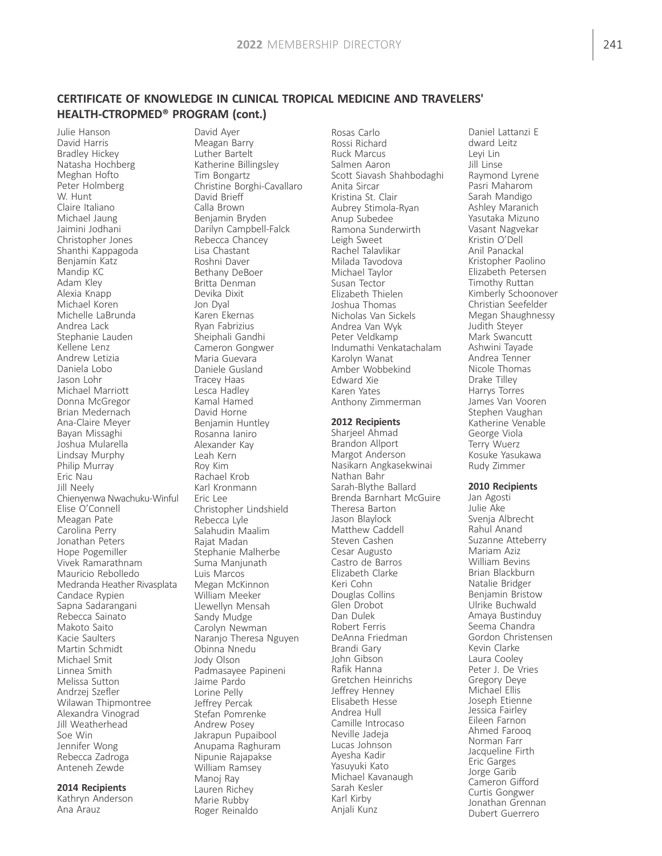Julie Hanson David Harris Bradley Hickey Natasha Hochberg Meghan Hofto Peter Holmberg W. Hunt Claire Italiano Michael Jaung Jaimini Jodhani Christopher Jones Shanthi Kappagoda Benjamin Katz Mandip KC Adam Kley Alexia Knapp Michael Koren Michelle LaBrunda Andrea Lack Stephanie Lauden Kellene Lenz Andrew Letizia Daniela Lobo Jason Lohr Michael Marriott Donna McGregor Brian Medernach Ana-Claire Meyer Bayan Missaghi Joshua Mularella Lindsay Murphy Philip Murray Eric Nau Jill Neely Chienyenwa Nwachuku-Winful Elise O'Connell Meagan Pate Carolina Perry Jonathan Peters Hope Pogemiller Vivek Ramarathnam Mauricio Rebolledo Medranda Heather Rivasplata Candace Rypien Sapna Sadarangani Rebecca Sainato Makoto Saito Kacie Saulters Martin Schmidt Michael Smit Linnea Smith Melissa Sutton Andrzej Szefler Wilawan Thipmontree Alexandra Vinograd Jill Weatherhead Soe Win Jennifer Wong Rebecca Zadroga Anteneh Zewde

## 2014 Recipients

Kathryn Anderson Ana Arauz

David Ayer Meagan Barry Luther Bartelt Katherine Billingsley Tim Bongartz Christine Borghi-Cavallaro David Brieff Calla Brown Benjamin Bryden Darilyn Campbell-Falck Rebecca Chancey Lisa Chastant Roshni Daver Bethany DeBoer Britta Denman Devika Dixit Jon Dyal Karen Ekernas Ryan Fabrizius Sheiphali Gandhi Cameron Gongwer Maria Guevara Daniele Gusland Tracey Haas Lesca Hadley Kamal Hamed David Horne Benjamin Huntley Rosanna Ianiro Alexander Kay Leah Kern Roy Kim Rachael Krob Karl Kronmann Eric Lee Christopher Lindshield Rebecca Lyle Salahudin Maalim Rajat Madan Stephanie Malherbe Suma Manjunath Luis Marcos Megan McKinnon William Meeker Llewellyn Mensah Sandy Mudge Carolyn Newman Naranjo Theresa Nguyen Obinna Nnedu Jody Olson Padmasayee Papineni Jaime Pardo Lorine Pelly Jeffrey Percak Stefan Pomrenke Andrew Posey Jakrapun Pupaibool Anupama Raghuram Nipunie Rajapakse William Ramsey Manoj Ray Lauren Richey Marie Rubby Roger Reinaldo

Rosas Carlo Rossi Richard Ruck Marcus Salmen Aaron Scott Siavash Shahbodaghi Anita Sircar Kristina St. Clair Aubrey Stimola-Ryan Anup Subedee Ramona Sunderwirth Leigh Sweet Rachel Talavlikar Milada Tavodova Michael Taylor Susan Tector Elizabeth Thielen Joshua Thomas Nicholas Van Sickels Andrea Van Wyk Peter Veldkamp Indumathi Venkatachalam Karolyn Wanat Amber Wobbekind Edward Xie Karen Yates Anthony Zimmerman 2012 Recipients Sharjeel Ahmad Brandon Allport Margot Anderson Nasikarn Angkasekwinai Nathan Bahr Sarah-Blythe Ballard Brenda Barnhart McGuire Theresa Barton Jason Blaylock Matthew Caddell Steven Cashen Cesar Augusto Castro de Barros Elizabeth Clarke Keri Cohn Douglas Collins Glen Drobot Dan Dulek Robert Ferris DeAnna Friedman Brandi Gary John Gibson Rafik Hanna Gretchen Heinrichs Jeffrey Henney Elisabeth Hesse Andrea Hull Camille Introcaso

Neville Jadeja Lucas Johnson Ayesha Kadir Yasuyuki Kato Michael Kavanaugh Sarah Kesler Karl Kirby Anjali Kunz

Daniel Lattanzi E dward Leitz Leyi Lin Jill Linse Raymond Lyrene Pasri Maharom Sarah Mandigo Ashley Maranich Yasutaka Mizuno Vasant Nagvekar Kristin O'Dell Anil Panackal Kristopher Paolino Elizabeth Petersen Timothy Ruttan Kimberly Schoonover Christian Seefelder Megan Shaughnessy Judith Steyer Mark Swancutt Ashwini Tayade Andrea Tenner Nicole Thomas Drake Tilley Harrys Torres James Van Vooren Stephen Vaughan Katherine Venable George Viola Terry Wuerz Kosuke Yasukawa Rudy Zimmer

## 2010 Recipients

Jan Agosti Julie Ake Svenja Albrecht Rahul Anand Suzanne Atteberry Mariam Aziz William Bevins Brian Blackburn Natalie Bridger Benjamin Bristow Ulrike Buchwald Amaya Bustinduy Seema Chandra Gordon Christensen Kevin Clarke Laura Cooley Peter J. De Vries Gregory Deye Michael Ellis Joseph Etienne Jessica Fairley Eileen Farnon Ahmed Farooq Norman Farr Jacqueline Firth Eric Garges Jorge Garib Cameron Gifford Curtis Gongwer Jonathan Grennan Dubert Guerrero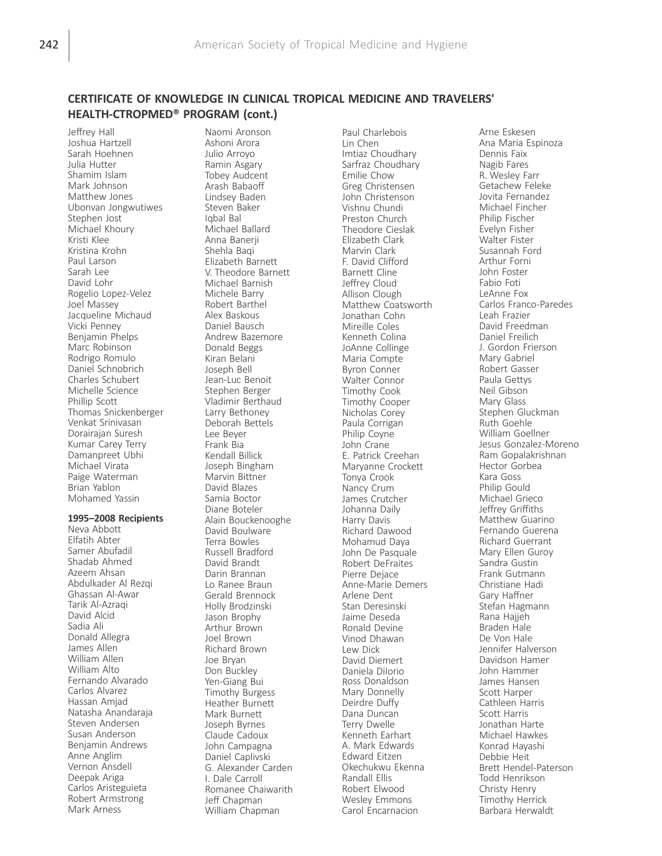Jeffrey Hall Joshua Hartzell Sarah Hoehnen Julia Hutter Shamim Islam Mark Johnson Matthew Jones Ubonvan Jongwutiwes Stephen Jost Michael Khoury Kristi Klee Kristina Krohn Paul Larson Sarah Lee David Lohr Rogelio Lopez-Velez Joel Massey Jacqueline Michaud Vicki Penney Benjamin Phelps Marc Robinson Rodrigo Romulo Daniel Schnobrich Charles Schubert Michelle Science Phillip Scott Thomas Snickenberger Venkat Srinivasan Dorairajan Suresh Kumar Carey Terry Damanpreet Ubhi Michael Virata Paige Waterman Brian Yablon Mohamed Yassin

#### 1995–2008 Recipients

Neva Abbott Elfatih Abter Samer Abufadil Shadab Ahmed Azeem Ahsan Abdulkader Al Rezqi Ghassan Al-Awar Tarik Al-Azraqi David Alcid Sadia Ali Donald Allegra James Allen William Allen William Alto Fernando Alvarado Carlos Alvarez Hassan Amjad Natasha Anandaraja Steven Andersen Susan Anderson Benjamin Andrews Anne Anglim Vernon Ansdell Deepak Ariga Carlos Aristeguieta Robert Armstrong Mark Arness

Naomi Aronson Ashoni Arora Julio Arroyo Ramin Asgary Tobey Audcent Arash Babaoff Lindsey Baden Steven Baker Iqbal Bal Michael Ballard Anna Banerii Shehla Baqi Elizabeth Barnett V. Theodore Barnett Michael Barnish Michele Barry Robert Barthel Alex Baskous Daniel Bausch Andrew Bazemore Donald Beggs Kiran Belani Joseph Bell Jean-Luc Benoit Stephen Berger Vladimir Berthaud Larry Bethoney Deborah Bettels Lee Beyer Frank Bia Kendall Billick Joseph Bingham Marvin Bittner David Blazes Samia Boctor Diane Boteler Alain Bouckenooghe David Boulware Terra Bowles Russell Bradford David Brandt Darin Brannan Lo Ranee Braun Gerald Brennock Holly Brodzinski Jason Brophy Arthur Brown Joel Brown Richard Brown Joe Bryan Don Buckley Yen-Giang Bui Timothy Burgess Heather Burnett Mark Burnett Joseph Byrnes Claude Cadoux John Campagna Daniel Caplivski G. Alexander Carden I. Dale Carroll Romanee Chaiwarith Jeff Chapman William Chapman

Paul Charlebois Lin Chen Imtiaz Choudhary Sarfraz Choudhary Emilie Chow Greg Christensen John Christenson Vishnu Chundi Preston Church Theodore Cieslak Elizabeth Clark Marvin Clark F. David Clifford Barnett Cline Jeffrey Cloud Allison Clough Matthew Coatsworth Jonathan Cohn Mireille Coles Kenneth Colina JoAnne Collinge Maria Compte Byron Conner Walter Connor Timothy Cook Timothy Cooper Nicholas Corey Paula Corrigan Philip Coyne John Crane E. Patrick Creehan Maryanne Crockett Tonya Crook Nancy Crum James Crutcher Johanna Daily Harry Davis Richard Dawood Mohamud Daya John De Pasquale Robert DeFraites Pierre Dejace Anne-Marie Demers Arlene Dent Stan Deresinski Jaime Deseda Ronald Devine Vinod Dhawan Lew Dick David Diemert Daniela DiIorio Ross Donaldson Mary Donnelly Deirdre Duffy Dana Duncan Terry Dwelle Kenneth Earhart A. Mark Edwards Edward Eitzen Okechukwu Ekenna Randall Ellis Robert Elwood Wesley Emmons Carol Encarnacion

Arne Eskesen Ana Maria Espinoza Dennis Faix Nagib Fares R. Wesley Farr Getachew Feleke Jovita Fernandez Michael Fincher Philip Fischer Evelyn Fisher Walter Fister Susannah Ford Arthur Forni John Foster Fabio Foti LeAnne Fox Carlos Franco-Paredes Leah Frazier David Freedman Daniel Freilich J. Gordon Frierson Mary Gabriel Robert Gasser Paula Gettys Neil Gibson Mary Glass Stephen Gluckman Ruth Goehle William Goellner Jesus Gonzalez-Moreno Ram Gopalakrishnan Hector Gorbea Kara Goss Philip Gould Michael Grieco Jeffrey Griffiths Matthew Guarino Fernando Guerena Richard Guerrant Mary Ellen Guroy Sandra Gustin Frank Gutmann Christiane Hadi Gary Haffner Stefan Hagmann Rana Haijeh Braden Hale De Von Hale Jennifer Halverson Davidson Hamer John Hammer James Hansen Scott Harper Cathleen Harris Scott Harris Jonathan Harte Michael Hawkes Konrad Hayashi Debbie Heit Brett Hendel-Paterson Todd Henrikson Christy Henry Timothy Herrick Barbara Herwaldt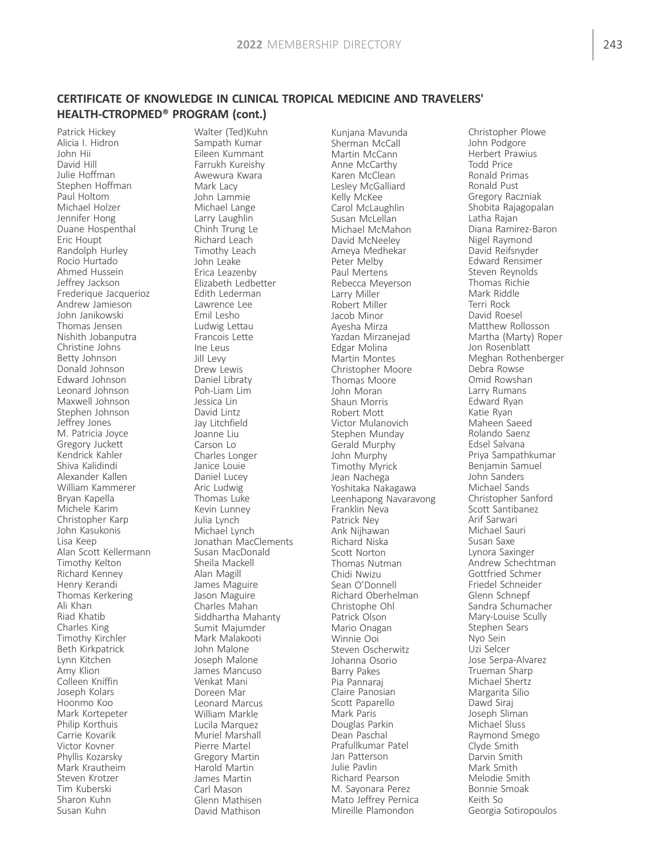Patrick Hickey Alicia I. Hidron John Hii David Hill Julie Hoffman Stephen Hoffman Paul Holtom Michael Holzer Jennifer Hong Duane Hospenthal Eric Houpt Randolph Hurley Rocio Hurtado Ahmed Hussein Jeffrey Jackson Frederique Jacquerioz Andrew Jamieson John Janikowski Thomas Jensen Nishith Jobanputra Christine Johns Betty Johnson Donald Johnson Edward Johnson Leonard Johnson Maxwell Johnson Stephen Johnson Jeffrey Jones M. Patricia Joyce Gregory Juckett Kendrick Kahler Shiva Kalidindi Alexander Kallen William Kammerer Bryan Kapella Michele Karim Christopher Karp John Kasukonis Lisa Keep Alan Scott Kellermann Timothy Kelton Richard Kenney Henry Kerandi Thomas Kerkering Ali Khan Riad Khatib Charles King Timothy Kirchler Beth Kirkpatrick Lynn Kitchen Amy Klion Colleen Kniffin Joseph Kolars Hoonmo Koo Mark Kortepeter Philip Korthuis Carrie Kovarik Victor Kovner Phyllis Kozarsky Mark Krautheim Steven Krotzer Tim Kuberski Sharon Kuhn Susan Kuhn

Walter (Ted)Kuhn Sampath Kumar Eileen Kummant Farrukh Kureishy Awewura Kwara Mark Lacy John Lammie Michael Lange Larry Laughlin Chinh Trung Le Richard Leach Timothy Leach John Leake Erica Leazenby Elizabeth Ledbetter Edith Lederman Lawrence Lee Emil Lesho Ludwig Lettau Francois Lette Ine Leus Jill Levy Drew Lewis Daniel Libraty Poh-Liam Lim Jessica Lin David Lintz Jay Litchfield Joanne Liu Carson Lo Charles Longer Janice Louie Daniel Lucey Aric Ludwig Thomas Luke Kevin Lunney Julia Lynch Michael Lynch Jonathan MacClements Susan MacDonald Sheila Mackell Alan Magill James Maguire Jason Maguire Charles Mahan Siddhartha Mahanty Sumit Majumder Mark Malakooti John Malone Joseph Malone James Mancuso Venkat Mani Doreen Mar Leonard Marcus William Markle Lucila Marquez Muriel Marshall Pierre Martel Gregory Martin Harold Martin James Martin Carl Mason Glenn Mathisen David Mathison

Kunjana Mavunda Sherman McCall Martin McCann Anne McCarthy Karen McClean Lesley McGalliard Kelly McKee Carol McLaughlin Susan McLellan Michael McMahon David McNeeley Ameya Medhekar Peter Melby Paul Mertens Rebecca Meyerson Larry Miller Robert Miller Jacob Minor Ayesha Mirza Yazdan Mirzanejad Edgar Molina Martin Montes Christopher Moore Thomas Moore John Moran Shaun Morris Robert Mott Victor Mulanovich Stephen Munday Gerald Murphy John Murphy Timothy Myrick Jean Nachega Yoshitaka Nakagawa Leenhapong Navaravong Franklin Neva Patrick Ney Ank Nijhawan Richard Niska Scott Norton Thomas Nutman Chidi Nwizu Sean O'Donnell Richard Oberhelman Christophe Ohl Patrick Olson Mario Onagan Winnie Ooi Steven Oscherwitz Johanna Osorio Barry Pakes Pia Pannaraj Claire Panosian Scott Paparello Mark Paris Douglas Parkin Dean Paschal Prafullkumar Patel Jan Patterson Julie Pavlin Richard Pearson M. Sayonara Perez Mato Jeffrey Pernica Mireille Plamondon

Christopher Plowe John Podgore Herbert Prawius Todd Price Ronald Primas Ronald Pust Gregory Raczniak Shobita Rajagopalan Latha Rajan Diana Ramirez-Baron Nigel Raymond David Reifsnyder Edward Rensimer Steven Reynolds Thomas Richie Mark Riddle Terri Rock David Roesel Matthew Rollosson Martha (Marty) Roper Jon Rosenblatt Meghan Rothenberger Debra Rowse Omid Rowshan Larry Rumans Edward Ryan Katie Ryan Maheen Saeed Rolando Saenz Edsel Salvana Priya Sampathkumar Benjamin Samuel John Sanders Michael Sands Christopher Sanford Scott Santibanez Arif Sarwari Michael Sauri Susan Saxe Lynora Saxinger Andrew Schechtman Gottfried Schmer Friedel Schneider Glenn Schnepf Sandra Schumacher Mary-Louise Scully Stephen Sears Nyo Sein Uzi Selcer Jose Serpa-Alvarez Trueman Sharp Michael Shertz Margarita Silio Dawd Siraj Joseph Sliman Michael Sluss Raymond Smego Clyde Smith Darvin Smith Mark Smith Melodie Smith Bonnie Smoak Keith So Georgia Sotiropoulos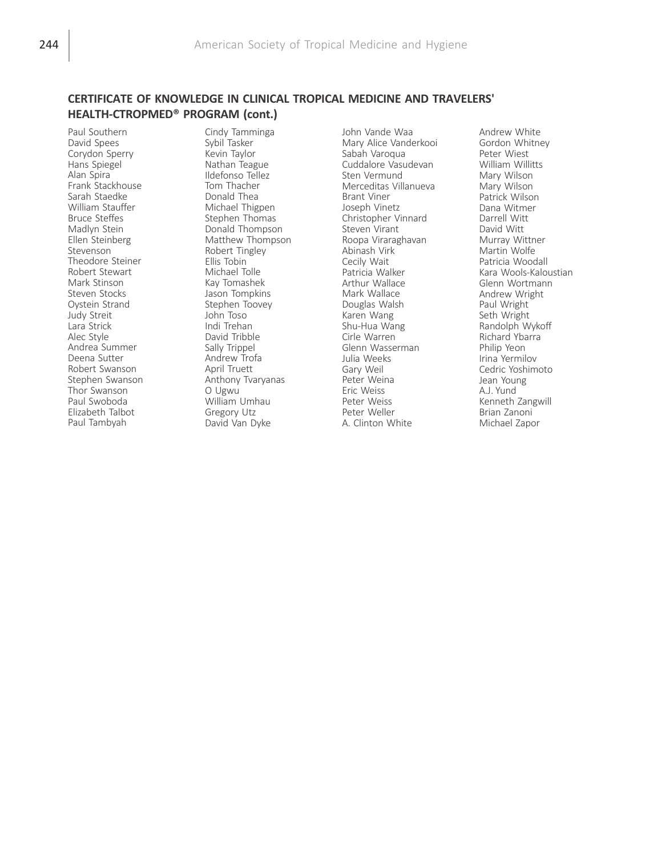Paul Southern David Spees Corydon Sperry Hans Spiegel Alan Spira Frank Stackhouse Sarah Staedke William Stauffer Bruce Steffes Madlyn Stein Ellen Steinberg Stevenson Theodore Steiner Robert Stewart Mark Stinson Steven Stocks Oystein Strand Judy Streit Lara Strick Alec Style Andrea Summer Deena Sutter Robert Swanson Stephen Swanson Thor Swanson Paul Swoboda Elizabeth Talbot Paul Tambyah

Cindy Tamminga Sybil Tasker Kevin Taylor Nathan Teague Ildefonso Tellez Tom Thacher Donald Thea Michael Thigpen Stephen Thomas Donald Thompson Matthew Thompson Robert Tingley Ellis Tobin Michael Tolle Kay Tomashek Jason Tompkins Stephen Toovey John Toso Indi Trehan David Tribble Sally Trippel Andrew Trofa April Truett Anthony Tvaryanas O Ugwu William Umhau Gregory Utz David Van Dyke

John Vande Waa Mary Alice Vanderkooi Sabah Varoqua Cuddalore Vasudevan Sten Vermund Merceditas Villanueva Brant Viner Joseph Vinetz Christopher Vinnard Steven Virant Roopa Viraraghavan Abinash Virk Cecily Wait Patricia Walker Arthur Wallace Mark Wallace Douglas Walsh Karen Wang Shu-Hua Wang Cirle Warren Glenn Wasserman Julia Weeks Gary Weil Peter Weina Eric Weiss Peter Weiss Peter Weller A. Clinton White

Andrew White Gordon Whitney Peter Wiest William Willitts Mary Wilson Mary Wilson Patrick Wilson Dana Witmer Darrell Witt David Witt Murray Wittner Martin Wolfe Patricia Woodall Kara Wools-Kaloustian Glenn Wortmann Andrew Wright Paul Wright Seth Wright Randolph Wykoff Richard Ybarra Philip Yeon Irina Yermilov Cedric Yoshimoto Jean Young A.J. Yund Kenneth Zangwill Brian Zanoni Michael Zapor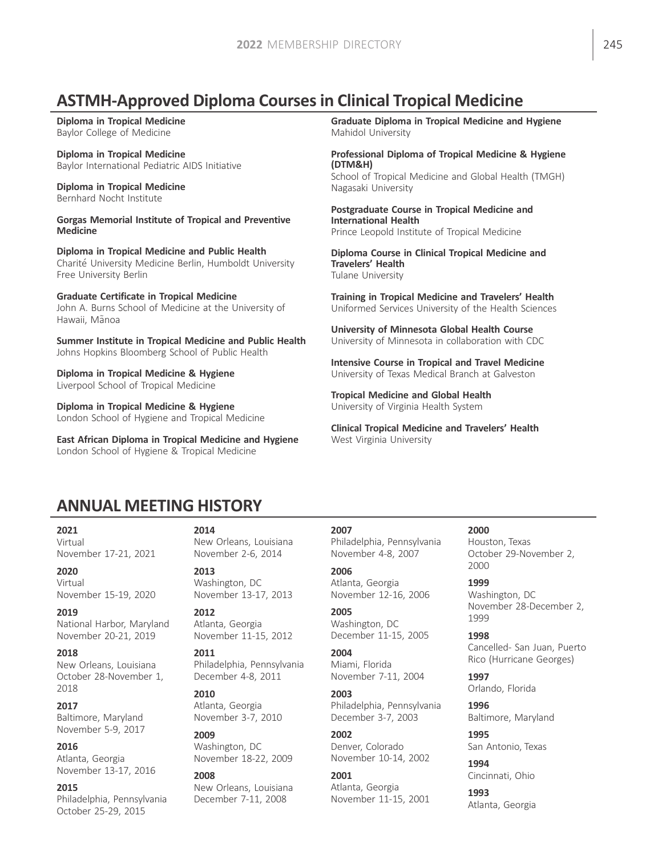# ASTMH-Approved Diploma Courses in Clinical Tropical Medicine

Diploma in Tropical Medicine Baylor College of Medicine

Diploma in Tropical Medicine Baylor International Pediatric AIDS Initiative

Diploma in Tropical Medicine Bernhard Nocht Institute

Gorgas Memorial Institute of Tropical and Preventive Medicine

Diploma in Tropical Medicine and Public Health Charite University Medicine Berlin, Humboldt University Free University Berlin

Graduate Certificate in Tropical Medicine John A. Burns School of Medicine at the University of Hawaii, Mãnoa

Summer Institute in Tropical Medicine and Public Health Johns Hopkins Bloomberg School of Public Health

Diploma in Tropical Medicine & Hygiene Liverpool School of Tropical Medicine

Diploma in Tropical Medicine & Hygiene London School of Hygiene and Tropical Medicine

East African Diploma in Tropical Medicine and Hygiene London School of Hygiene & Tropical Medicine

# Graduate Diploma in Tropical Medicine and Hygiene

Mahidol University

Professional Diploma of Tropical Medicine & Hygiene (DTM&H) School of Tropical Medicine and Global Health (TMGH)

Nagasaki University

Postgraduate Course in Tropical Medicine and International Health Prince Leopold Institute of Tropical Medicine

Diploma Course in Clinical Tropical Medicine and Travelers' Health Tulane University

Training in Tropical Medicine and Travelers' Health Uniformed Services University of the Health Sciences

University of Minnesota Global Health Course University of Minnesota in collaboration with CDC

Intensive Course in Tropical and Travel Medicine University of Texas Medical Branch at Galveston

Tropical Medicine and Global Health University of Virginia Health System

Clinical Tropical Medicine and Travelers' Health West Virginia University

# ANNUAL MEETING HISTORY

2021

Virtual November 17-21, 2021

2020

Virtual November 15-19, 2020

2019 National Harbor, Maryland November 20-21, 2019

## 2018

New Orleans, Louisiana October 28-November 1, 2018

2017

Baltimore, Maryland November 5-9, 2017

2016 Atlanta, Georgia November 13-17, 2016

## 2015

Philadelphia, Pennsylvania October 25-29, 2015

## 2014

New Orleans, Louisiana November 2-6, 2014

2013 Washington, DC November 13-17, 2013

2012 Atlanta, Georgia November 11-15, 2012

## 2011

Philadelphia, Pennsylvania December 4-8, 2011

## 2010

Atlanta, Georgia November 3-7, 2010

# 2009

Washington, DC November 18-22, 2009

## 2008

New Orleans, Louisiana December 7-11, 2008

## 2007

Philadelphia, Pennsylvania November 4-8, 2007

2006 Atlanta, Georgia November 12-16, 2006

2005 Washington, DC December 11-15, 2005

#### 2004 Miami, Florida November 7-11, 2004

2003 Philadelphia, Pennsylvania December 3-7, 2003

## 2002 Denver, Colorado

November 10-14, 2002 2001

## Atlanta, Georgia November 11-15, 2001

Houston, Texas October 29-November 2, 2000

# 1999

2000

Washington, DC November 28-December 2, 1999

1998 Cancelled- San Juan, Puerto Rico (Hurricane Georges)

1997 Orlando, Florida

1996 Baltimore, Maryland

1995 San Antonio, Texas

1994 Cincinnati, Ohio

1993 Atlanta, Georgia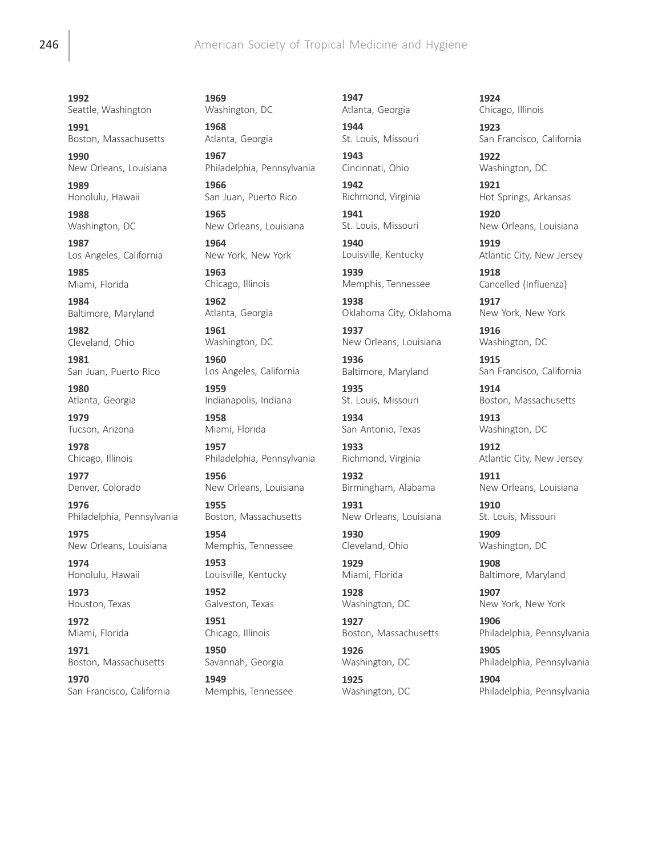# **246 American Society of Tropical Medicine and Hygiene**

1992 Seattle, Washington

1991 Boston, Massachusetts 1990

New Orleans, Louisiana

1989 Honolulu, Hawaii

1988 Washington, DC

1987 Los Angeles, California

1985 Miami, Florida

1984 Baltimore, Maryland

1982 Cleveland, Ohio

1981 San Juan, Puerto Rico

1980 Atlanta, Georgia

1979 Tucson, Arizona

1978 Chicago, Illinois

1977 Denver, Colorado

1976 Philadelphia, Pennsylvania

1975 New Orleans, Louisiana

1974 Honolulu, Hawaii

1973 Houston, Texas

1972 Miami, Florida

1971 Boston, Massachusetts

1970 San Francisco, California 1969 Washington, DC

1968 Atlanta, Georgia

1967 Philadelphia, Pennsylvania

1966 San Juan, Puerto Rico

1965 New Orleans, Louisiana

1964 New York, New York

1963 Chicago, Illinois

1962 Atlanta, Georgia

1961 Washington, DC

1960 Los Angeles, California

1959 Indianapolis, Indiana

1958 Miami, Florida

1957 Philadelphia, Pennsylvania

1956 New Orleans, Louisiana

1955 Boston, Massachusetts

1954 Memphis, Tennessee

1953 Louisville, Kentucky

1952 Galveston, Texas

1951 Chicago, Illinois

1950 Savannah, Georgia

1949 Memphis, Tennessee 1947 Atlanta, Georgia

1944

St. Louis, Missouri 1943 Cincinnati, Ohio

1942 Richmond, Virginia

1941 St. Louis, Missouri

1940 Louisville, Kentucky

1939 Memphis, Tennessee 1938

Oklahoma City, Oklahoma

1937 New Orleans, Louisiana

1936 Baltimore, Maryland

1935 St. Louis, Missouri

1934 San Antonio, Texas

1933 Richmond, Virginia

1932 Birmingham, Alabama

1931 New Orleans, Louisiana

1930 Cleveland, Ohio

1929 Miami, Florida

1928 Washington, DC

1927 Boston, Massachusetts

1926 Washington, DC

1925 Washington, DC 1924 Chicago, Illinois

1923 San Francisco, California 1922

Washington, DC

1921 Hot Springs, Arkansas

1920 New Orleans, Louisiana

1919 Atlantic City, New Jersey

1918 Cancelled (Influenza)

1917 New York, New York

1916 Washington, DC

1915 San Francisco, California

1914 Boston, Massachusetts

1913 Washington, DC

1912 Atlantic City, New Jersey

1911 New Orleans, Louisiana

1910 St. Louis, Missouri

1909 Washington, DC

1908 Baltimore, Maryland

1907 New York, New York

1906 Philadelphia, Pennsylvania

1905 Philadelphia, Pennsylvania

1904 Philadelphia, Pennsylvania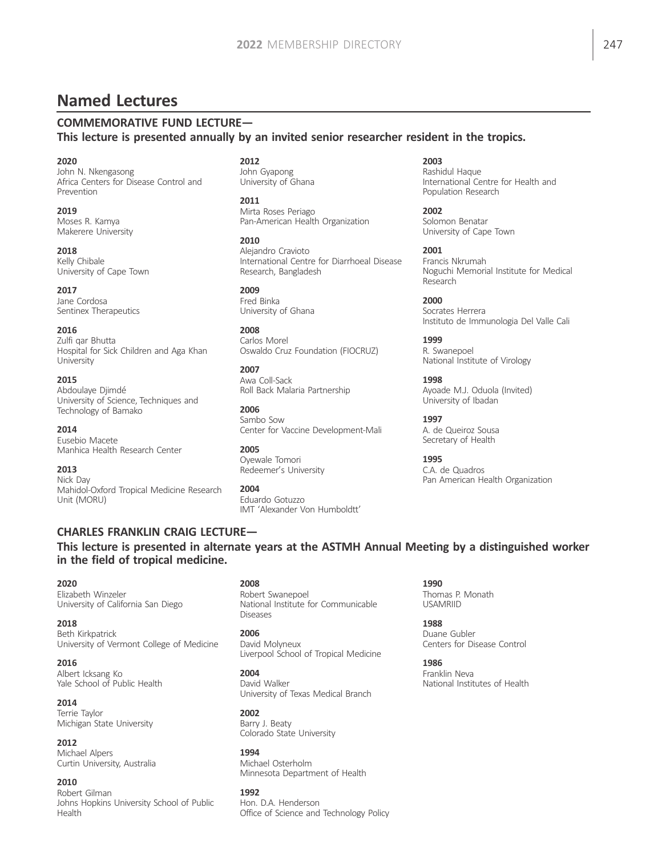# Named Lectures

# COMMEMORATIVE FUND LECTURE—

This lecture is presented annually by an invited senior researcher resident in the tropics.

2020

John N. Nkengasong Africa Centers for Disease Control and Prevention

2019 Moses R. Kamya Makerere University

2018 Kelly Chibale University of Cape Town

2017 Jane Cordosa Sentinex Therapeutics

2016 Zulfi qar Bhutta

Hospital for Sick Children and Aga Khan University

2015<br>Abdoulaye Djimdé University of Science, Techniques and Technology of Bamako

2014 Eusebio Macete Manhica Health Research Center

2013 Nick Day Mahidol-Oxford Tropical Medicine Research Unit (MORU)

2012 John Gyapong University of Ghana

2011 Mirta Roses Periago Pan-American Health Organization

2010 Alejandro Cravioto International Centre for Diarrhoeal Disease Research, Bangladesh

2009 Fred Binka University of Ghana

2008 Carlos Morel Oswaldo Cruz Foundation (FIOCRUZ)

2007 Awa Coll-Sack Roll Back Malaria Partnership

2006 Sambo Sow Center for Vaccine Development-Mali

2005 Oyewale Tomori Redeemer's University

2004 Eduardo Gotuzzo IMT 'Alexander Von Humboldtt' 2003

Rashidul Haque International Centre for Health and Population Research

2002 Solomon Benatar University of Cape Town

2001 Francis Nkrumah Noguchi Memorial Institute for Medical Research

2000 Socrates Herrera Instituto de Immunologia Del Valle Cali

1999 R. Swanepoel National Institute of Virology

1998 Ayoade M.J. Oduola (Invited) University of Ibadan

1997 A. de Queiroz Sousa Secretary of Health

1995 C.A. de Quadros Pan American Health Organization

CHARLES FRANKLIN CRAIG LECTURE— This lecture is presented in alternate years at the ASTMH Annual Meeting by a distinguished worker in the field of tropical medicine.

2020

Elizabeth Winzeler University of California San Diego

2018 Beth Kirkpatrick University of Vermont College of Medicine

2016 Albert Icksang Ko Yale School of Public Health

2014 Terrie Taylor Michigan State University

2012 Michael Alpers Curtin University, Australia

2010 Robert Gilman Johns Hopkins University School of Public Health

2008 Robert Swanepoel National Institute for Communicable **Diseases** 

2006 David Molyneux Liverpool School of Tropical Medicine

2004 David Walker University of Texas Medical Branch

2002 Barry J. Beaty Colorado State University

1994 Michael Osterholm Minnesota Department of Health

1992 Hon. D.A. Henderson Office of Science and Technology Policy 1990 Thomas P. Monath USAMRIID

1988 Duane Gubler Centers for Disease Control

1986 Franklin Neva National Institutes of Health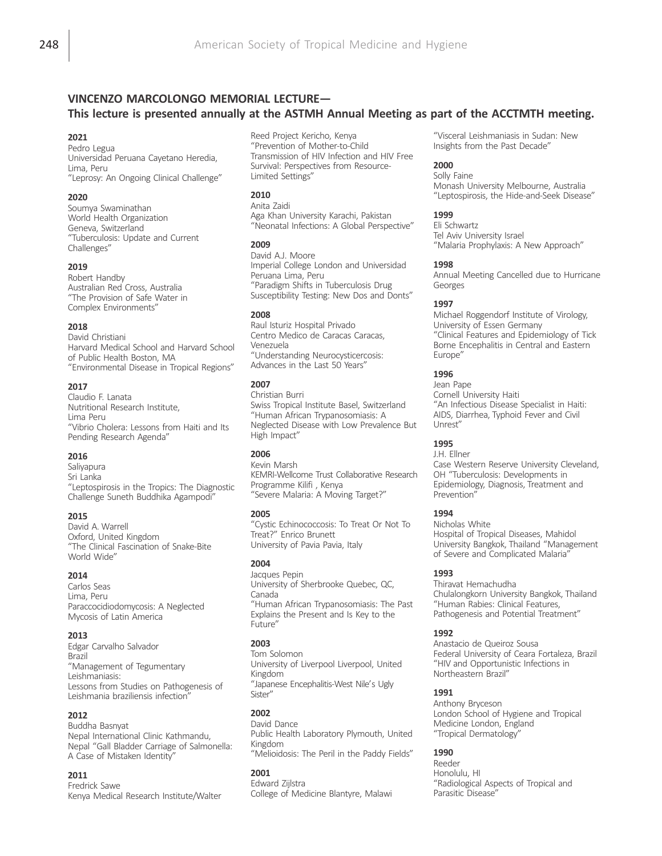# VINCENZO MARCOLONGO MEMORIAL LECTURE— This lecture is presented annually at the ASTMH Annual Meeting as part of the ACCTMTH meeting.

#### 2021

Pedro Legua Universidad Peruana Cayetano Heredia, Lima, Peru "Leprosy: An Ongoing Clinical Challenge"

#### 2020

Soumya Swaminathan World Health Organization Geneva, Switzerland "Tuberculosis: Update and Current Challenges"

#### 2019

Robert Handby Australian Red Cross, Australia "The Provision of Safe Water in Complex Environments"

#### 2018

David Christiani Harvard Medical School and Harvard School of Public Health Boston, MA "Environmental Disease in Tropical Regions"

#### 2017

Claudio F. Lanata Nutritional Research Institute, Lima Peru "Vibrio Cholera: Lessons from Haiti and Its Pending Research Agenda"

#### 2016

Saliyapura Sri Lanka "Leptospirosis in the Tropics: The Diagnostic Challenge Suneth Buddhika Agampodi"

#### 2015

David A. Warrell Oxford, United Kingdom "The Clinical Fascination of Snake-Bite World Wide"

## 2014

Carlos Seas Lima, Peru Paraccocidiodomycosis: A Neglected Mycosis of Latin America

#### 2013

Edgar Carvalho Salvador Brazil "Management of Tegumentary Leishmaniasis: Lessons from Studies on Pathogenesis of Leishmania braziliensis infection"

## 2012

Buddha Basnyat Nepal International Clinic Kathmandu, Nepal "Gall Bladder Carriage of Salmonella: A Case of Mistaken Identity"

## 2011

Fredrick Sawe Kenya Medical Research Institute/Walter

Reed Project Kericho, Kenya "Prevention of Mother-to-Child Transmission of HIV Infection and HIV Free Survival: Perspectives from Resource-Limited Settings"

## 2010

Anita Zaidi Aga Khan University Karachi, Pakistan "Neonatal Infections: A Global Perspective"

#### 2009

David A.J. Moore Imperial College London and Universidad Peruana Lima, Peru "Paradigm Shifts in Tuberculosis Drug Susceptibility Testing: New Dos and Donts"

#### 2008

Raul Isturiz Hospital Privado Centro Medico de Caracas Caracas, Venezuela "Understanding Neurocysticercosis: Advances in the Last 50 Years"

## 2007

Christian Burri Swiss Tropical Institute Basel, Switzerland "Human African Trypanosomiasis: A Neglected Disease with Low Prevalence But High Impact"

## 2006

Kevin Marsh KEMRI-Wellcome Trust Collaborative Research Programme Kilifi , Kenya "Severe Malaria: A Moving Target?"

## 2005

"Cystic Echinococcosis: To Treat Or Not To Treat?" Enrico Brunett University of Pavia Pavia, Italy

## 2004

Jacques Pepin University of Sherbrooke Quebec, QC, Canada "Human African Trypanosomiasis: The Past Explains the Present and Is Key to the Future"

## 2003

Tom Solomon University of Liverpool Liverpool, United Kingdom "Japanese Encephalitis-West Nile's Ugly Sister"

## 2002

David Dance Public Health Laboratory Plymouth, United Kingdom "Melioidosis: The Peril in the Paddy Fields"

## 2001

Edward Zijlstra College of Medicine Blantyre, Malawi

"Visceral Leishmaniasis in Sudan: New Insights from the Past Decade"

## 2000

Solly Faine Monash University Melbourne, Australia "Leptospirosis, the Hide-and-Seek Disease"

## 1999

Eli Schwartz Tel Aviv University Israel "Malaria Prophylaxis: A New Approach"

#### 1998

Annual Meeting Cancelled due to Hurricane Georges

## 1997

Michael Roggendorf Institute of Virology, University of Essen Germany "Clinical Features and Epidemiology of Tick Borne Encephalitis in Central and Eastern Europe"

## 1996

Jean Pape Cornell University Haiti "An Infectious Disease Specialist in Haiti: AIDS, Diarrhea, Typhoid Fever and Civil Unrest"

## 1995

J.H. Ellner

Case Western Reserve University Cleveland, OH "Tuberculosis: Developments in Epidemiology, Diagnosis, Treatment and Prevention"

## 1994

Nicholas White Hospital of Tropical Diseases, Mahidol University Bangkok, Thailand "Management of Severe and Complicated Malaria"

## 1993

Thiravat Hemachudha Chulalongkorn University Bangkok, Thailand "Human Rabies: Clinical Features, Pathogenesis and Potential Treatment"

## 1992

Anastacio de Queiroz Sousa Federal University of Ceara Fortaleza, Brazil "HIV and Opportunistic Infections in Northeastern Brazil"

## 1991

Anthony Bryceson London School of Hygiene and Tropical Medicine London, England "Tropical Dermatology"

## 1990

Reeder Honolulu, HI "Radiological Aspects of Tropical and Parasitic Disease"